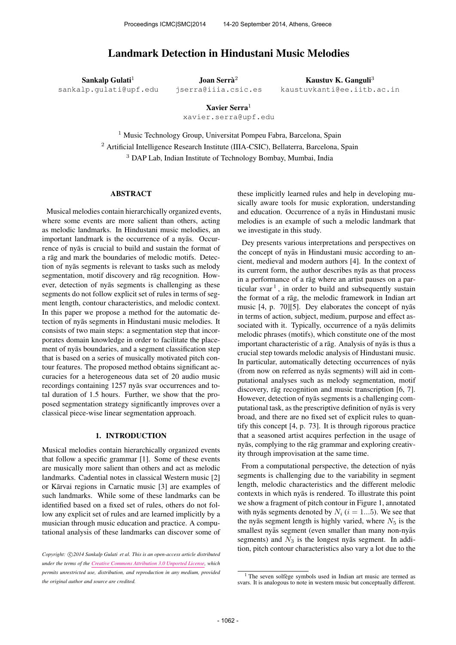# Landmark Detection in Hindustani Music Melodies

Sankalp Gulati $1$ 

[sankalp.gulati@upf.edu](mailto:sankalp.gulati@upf.edu)

Joan Serrà $^2$ [jserra@iiia.csic.es](mailto:jserra@iiia.csic.es)

Kaustuv K. Ganguli<sup>3</sup> [kaustuvkanti@ee.iitb.ac.in](mailto:kaustuvkanti@ee.iitb.ac.in)

Xavier Serra $1$ 

[xavier.serra@upf.edu](mailto:xavier.serra@upf.edu)

<sup>1</sup> Music Technology Group, Universitat Pompeu Fabra, Barcelona, Spain <sup>2</sup> Artificial Intelligence Research Institute (IIIA-CSIC), Bellaterra, Barcelona, Spain <sup>3</sup> DAP Lab, Indian Institute of Technology Bombay, Mumbai, India

### ABSTRACT

Musical melodies contain hierarchically organized events, where some events are more salient than others, acting as melodic landmarks. In Hindustani music melodies, an important landmark is the occurrence of a nyās. Occurrence of nyas is crucial to build and sustain the format of a rāg and mark the boundaries of melodic motifs. Detection of nyās segments is relevant to tasks such as melody segmentation, motif discovery and rāg recognition. However, detection of nyas segments is challenging as these segments do not follow explicit set of rules in terms of segment length, contour characteristics, and melodic context. In this paper we propose a method for the automatic detection of nyas segments in Hindustani music melodies. It ¯ consists of two main steps: a segmentation step that incorporates domain knowledge in order to facilitate the placement of nyas boundaries, and a segment classification step that is based on a series of musically motivated pitch contour features. The proposed method obtains significant accuracies for a heterogeneous data set of 20 audio music recordings containing 1257 nyās svar occurrences and total duration of 1.5 hours. Further, we show that the proposed segmentation strategy significantly improves over a classical piece-wise linear segmentation approach.

# 1. INTRODUCTION

Musical melodies contain hierarchically organized events that follow a specific grammar [1]. Some of these events are musically more salient than others and act as melodic landmarks. Cadential notes in classical Western music [2] or Kārvai regions in Carnatic music [3] are examples of such landmarks. While some of these landmarks can be identified based on a fixed set of rules, others do not follow any explicit set of rules and are learned implicitly by a musician through music education and practice. A computational analysis of these landmarks can discover some of these implicitly learned rules and help in developing musically aware tools for music exploration, understanding and education. Occurrence of a nyas in Hindustani music melodies is an example of such a melodic landmark that we investigate in this study.

Dey presents various interpretations and perspectives on the concept of nyas in Hindustani music according to ancient, medieval and modern authors [4]. In the context of its current form, the author describes nyas as that process in a performance of a rāg where an artist pauses on a particular svar<sup>1</sup>, in order to build and subsequently sustain the format of a rāg, the melodic framework in Indian art music [4, p. 70][5]. Dey elaborates the concept of nyas in terms of action, subject, medium, purpose and effect associated with it. Typically, occurrence of a nyas delimits melodic phrases (motifs), which constitute one of the most important characteristic of a rag. Analysis of ny as is thus a crucial step towards melodic analysis of Hindustani music. In particular, automatically detecting occurrences of nyas (from now on referred as nyās segments) will aid in computational analyses such as melody segmentation, motif discovery, rāg recognition and music transcription [6, 7]. However, detection of nyas segments is a challenging computational task, as the prescriptive definition of nyas is very broad, and there are no fixed set of explicit rules to quantify this concept [4, p. 73]. It is through rigorous practice that a seasoned artist acquires perfection in the usage of nyās, complying to the rāg grammar and exploring creativity through improvisation at the same time.

From a computational perspective, the detection of nyas segments is challenging due to the variability in segment length, melodic characteristics and the different melodic contexts in which nyas is rendered. To illustrate this point we show a fragment of pitch contour in Figure 1, annotated with nyas segments denoted by  $N_i$  ( $i = 1...5$ ). We see that the nyas segment length is highly varied, where  $N_5$  is the smallest nyās segment (even smaller than many non-nyās segments) and  $N_3$  is the longest nyas segment. In addition, pitch contour characteristics also vary a lot due to the

Copyright:  $\bigcirc$ 2014 Sankalp Gulati et al. This is an open-access article distributed *under the terms of the [Creative Commons Attribution 3.0 Unported License,](http://creativecommons.org/licenses/by/3.0/) which permits unrestricted use, distribution, and reproduction in any medium, provided the original author and source are credited.*

 $1$  The seven solfège symbols used in Indian art music are termed as svars. It is analogous to note in western music but conceptually different.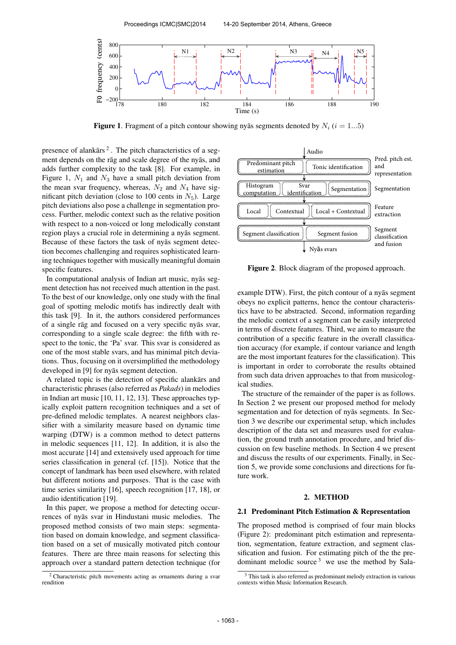

**Figure 1.** Fragment of a pitch contour showing nyas segments denoted by  $N_i$  ( $i = 1...5$ )

presence of alankars<sup>2</sup>. The pitch characteristics of a segment depends on the rāg and scale degree of the nyās, and adds further complexity to the task [8]. For example, in Figure 1,  $N_1$  and  $N_3$  have a small pitch deviation from the mean svar frequency, whereas,  $N_2$  and  $N_4$  have significant pitch deviation (close to 100 cents in  $N_5$ ). Large pitch deviations also pose a challenge in segmentation process. Further, melodic context such as the relative position with respect to a non-voiced or long melodically constant region plays a crucial role in determining a nyās segment. Because of these factors the task of nyas segment detection becomes challenging and requires sophisticated learning techniques together with musically meaningful domain specific features.

In computational analysis of Indian art music, nyas segment detection has not received much attention in the past. To the best of our knowledge, only one study with the final goal of spotting melodic motifs has indirectly dealt with this task [9]. In it, the authors considered performances of a single rag and focused on a very specific ny as svar, corresponding to a single scale degree: the fifth with respect to the tonic, the 'Pa' svar. This svar is considered as one of the most stable svars, and has minimal pitch deviations. Thus, focusing on it oversimplified the methodology developed in [9] for nyas segment detection.

A related topic is the detection of specific alankars and characteristic phrases (also referred as *Pakads*) in melodies in Indian art music [10, 11, 12, 13]. These approaches typically exploit pattern recognition techniques and a set of pre-defined melodic templates. A nearest neighbors classifier with a similarity measure based on dynamic time warping (DTW) is a common method to detect patterns in melodic sequences [11, 12]. In addition, it is also the most accurate [14] and extensively used approach for time series classification in general (cf. [15]). Notice that the concept of landmark has been used elsewhere, with related but different notions and purposes. That is the case with time series similarity [16], speech recognition [17, 18], or audio identification [19].

In this paper, we propose a method for detecting occurrences of nyās svar in Hindustani music melodies. The proposed method consists of two main steps: segmentation based on domain knowledge, and segment classification based on a set of musically motivated pitch contour features. There are three main reasons for selecting this approach over a standard pattern detection technique (for



Figure 2. Block diagram of the proposed approach.

example DTW). First, the pitch contour of a nyas segment obeys no explicit patterns, hence the contour characteristics have to be abstracted. Second, information regarding the melodic context of a segment can be easily interpreted in terms of discrete features. Third, we aim to measure the contribution of a specific feature in the overall classification accuracy (for example, if contour variance and length are the most important features for the classification). This is important in order to corroborate the results obtained from such data driven approaches to that from musicological studies.

The structure of the remainder of the paper is as follows. In Section 2 we present our proposed method for melody segmentation and for detection of nyas segments. In Section 3 we describe our experimental setup, which includes description of the data set and measures used for evaluation, the ground truth annotation procedure, and brief discussion on few baseline methods. In Section 4 we present and discuss the results of our experiments. Finally, in Section 5, we provide some conclusions and directions for future work.

# 2. METHOD

#### 2.1 Predominant Pitch Estimation & Representation

The proposed method is comprised of four main blocks (Figure 2): predominant pitch estimation and representation, segmentation, feature extraction, and segment classification and fusion. For estimating pitch of the the predominant melodic source  $3$  we use the method by Sala-

<sup>2</sup> Characteristic pitch movements acting as ornaments during a svar rendition

<sup>&</sup>lt;sup>3</sup> This task is also referred as predominant melody extraction in various contexts within Music Information Research.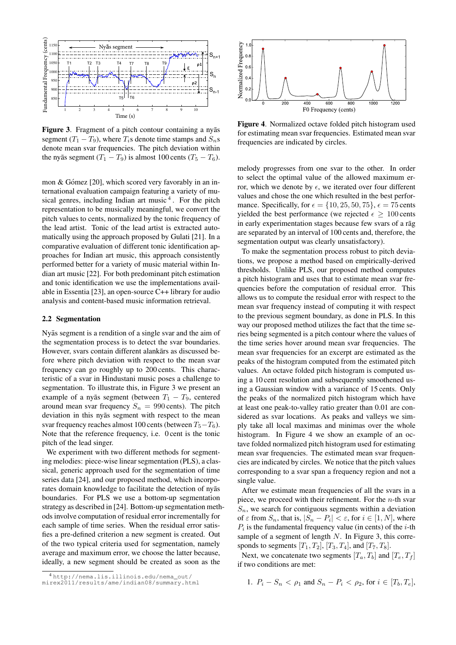

Figure 3. Fragment of a pitch contour containing a nyas segment  $(T_1 - T_9)$ , where  $T_i$ s denote time stamps and  $S_n$ s denote mean svar frequencies. The pitch deviation within the nyas segment  $(T_1 - T_9)$  is almost 100 cents  $(T_5 - T_6)$ .

mon & Gómez  $[20]$ , which scored very favorably in an international evaluation campaign featuring a variety of musical genres, including Indian art music<sup>4</sup>. For the pitch representation to be musically meaningful, we convert the pitch values to cents, normalized by the tonic frequency of the lead artist. Tonic of the lead artist is extracted automatically using the approach proposed by Gulati [21]. In a comparative evaluation of different tonic identification approaches for Indian art music, this approach consistently performed better for a variety of music material within Indian art music [22]. For both predominant pitch estimation and tonic identification we use the implementations available in Essentia [23], an open-source C++ library for audio analysis and content-based music information retrieval.

#### 2.2 Segmentation

Nyas segment is a rendition of a single svar and the aim of the segmentation process is to detect the svar boundaries. However, svars contain different alankars as discussed before where pitch deviation with respect to the mean svar frequency can go roughly up to 200 cents. This characteristic of a svar in Hindustani music poses a challenge to segmentation. To illustrate this, in Figure 3 we present an example of a nyās segment (between  $T_1 - T_9$ , centered around mean svar frequency  $S_n = 990$  cents). The pitch deviation in this nyas segment with respect to the mean svar frequency reaches almost 100 cents (between  $T_5-T_6$ ). Note that the reference frequency, i.e. 0 cent is the tonic pitch of the lead singer.

We experiment with two different methods for segmenting melodies: piece-wise linear segmentation (PLS), a classical, generic approach used for the segmentation of time series data [24], and our proposed method, which incorporates domain knowledge to facilitate the detection of nyas boundaries. For PLS we use a bottom-up segmentation strategy as described in [24]. Bottom-up segmentation methods involve computation of residual error incrementally for each sample of time series. When the residual error satisfies a pre-defined criterion a new segment is created. Out of the two typical criteria used for segmentation, namely average and maximum error, we choose the latter because, ideally, a new segment should be created as soon as the



Figure 4. Normalized octave folded pitch histogram used for estimating mean svar frequencies. Estimated mean svar frequencies are indicated by circles.

melody progresses from one svar to the other. In order to select the optimal value of the allowed maximum error, which we denote by  $\epsilon$ , we iterated over four different values and chose the one which resulted in the best performance. Specifically, for  $\epsilon = \{10, 25, 50, 75\}$ ,  $\epsilon = 75$  cents yielded the best performance (we rejected  $\epsilon > 100$  cents in early experimentation stages because few svars of a rag are separated by an interval of 100 cents and, therefore, the segmentation output was clearly unsatisfactory).

To make the segmentation process robust to pitch deviations, we propose a method based on empirically-derived thresholds. Unlike PLS, our proposed method computes a pitch histogram and uses that to estimate mean svar frequencies before the computation of residual error. This allows us to compute the residual error with respect to the mean svar frequency instead of computing it with respect to the previous segment boundary, as done in PLS. In this way our proposed method utilizes the fact that the time series being segmented is a pitch contour where the values of the time series hover around mean svar frequencies. The mean svar frequencies for an excerpt are estimated as the peaks of the histogram computed from the estimated pitch values. An octave folded pitch histogram is computed using a 10 cent resolution and subsequently smoothened using a Gaussian window with a variance of 15 cents. Only the peaks of the normalized pitch histogram which have at least one peak-to-valley ratio greater than 0.01 are considered as svar locations. As peaks and valleys we simply take all local maximas and minimas over the whole histogram. In Figure 4 we show an example of an octave folded normalized pitch histogram used for estimating mean svar frequencies. The estimated mean svar frequencies are indicated by circles. We notice that the pitch values corresponding to a svar span a frequency region and not a single value.

After we estimate mean frequencies of all the svars in a piece, we proceed with their refinement. For the  $n$ -th svar  $S_n$ , we search for contiguous segments within a deviation of  $\varepsilon$  from  $S_n$ , that is,  $|S_n - P_i| < \varepsilon$ , for  $i \in [1, N]$ , where  $P_i$  is the fundamental frequency value (in cents) of the *i*-th sample of a segment of length N. In Figure 3, this corresponds to segments  $[T_1, T_2]$ ,  $[T_3, T_4]$ , and  $[T_7, T_8]$ .

Next, we concatenate two segments  $[T_a, T_b]$  and  $[T_e, T_f]$ if two conditions are met:

1. 
$$
P_i - S_n < \rho_1
$$
 and  $S_n - P_i < \rho_2$ , for  $i \in [T_b, T_e]$ ,

<sup>4</sup> [http://nema.lis.illinois.edu/nema\\_out/](http://nema.lis.illinois.edu/nema_out/mirex2011/results/ame/indian08/summary.html)

[mirex2011/results/ame/indian08/summary.html](http://nema.lis.illinois.edu/nema_out/mirex2011/results/ame/indian08/summary.html)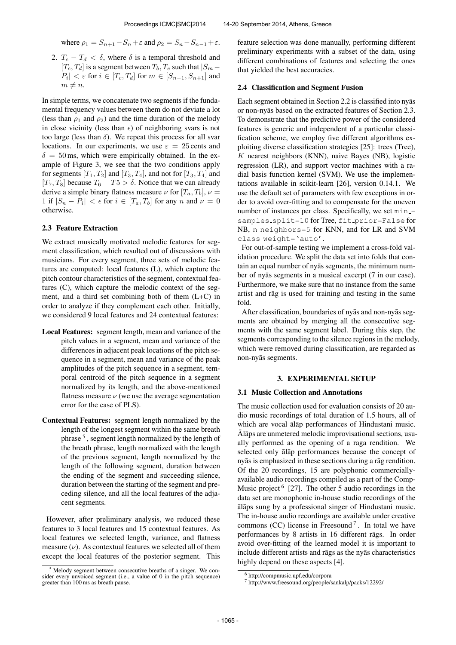where  $\rho_1 = S_{n+1} - S_n + \varepsilon$  and  $\rho_2 = S_n - S_{n-1} + \varepsilon$ .

2.  $T_c - T_d < \delta$ , where  $\delta$  is a temporal threshold and  $[T_c, T_d]$  is a segment between  $T_b, T_e$  such that  $|S_m |P_i| < \varepsilon$  for  $i \in [T_c, T_d]$  for  $m \in [S_{n-1}, S_{n+1}]$  and  $m \neq n$ .

In simple terms, we concatenate two segments if the fundamental frequency values between them do not deviate a lot (less than  $\rho_1$  and  $\rho_2$ ) and the time duration of the melody in close vicinity (less than  $\epsilon$ ) of neighboring svars is not too large (less than  $\delta$ ). We repeat this process for all svar locations. In our experiments, we use  $\varepsilon = 25$  cents and  $\delta = 50$  ms, which were empirically obtained. In the example of Figure 3, we see that the two conditions apply for segments  $[T_1, T_2]$  and  $[T_3, T_4]$ , and not for  $[T_3, T_4]$  and [ $T_7, T_8$ ] because  $T_6 - T_5 > \delta$ . Notice that we can already derive a simple binary flatness measure  $\nu$  for  $[T_a, T_b]$ ,  $\nu =$ 1 if  $|S_n - P_i| < \epsilon$  for  $i \in [T_a, T_b]$  for any n and  $\nu = 0$ otherwise.

### 2.3 Feature Extraction

We extract musically motivated melodic features for segment classification, which resulted out of discussions with musicians. For every segment, three sets of melodic features are computed: local features (L), which capture the pitch contour characteristics of the segment, contextual features (C), which capture the melodic context of the segment, and a third set combining both of them (L+C) in order to analyze if they complement each other. Initially, we considered 9 local features and 24 contextual features:

- Local Features: segment length, mean and variance of the pitch values in a segment, mean and variance of the differences in adjacent peak locations of the pitch sequence in a segment, mean and variance of the peak amplitudes of the pitch sequence in a segment, temporal centroid of the pitch sequence in a segment normalized by its length, and the above-mentioned flatness measure  $\nu$  (we use the average segmentation error for the case of PLS).
- Contextual Features: segment length normalized by the length of the longest segment within the same breath phrase <sup>5</sup>, segment length normalized by the length of the breath phrase, length normalized with the length of the previous segment, length normalized by the length of the following segment, duration between the ending of the segment and succeeding silence, duration between the starting of the segment and preceding silence, and all the local features of the adjacent segments.

However, after preliminary analysis, we reduced these features to 3 local features and 15 contextual features. As local features we selected length, variance, and flatness measure  $(v)$ . As contextual features we selected all of them except the local features of the posterior segment. This feature selection was done manually, performing different preliminary experiments with a subset of the data, using different combinations of features and selecting the ones that yielded the best accuracies.

#### 2.4 Classification and Segment Fusion

Each segment obtained in Section 2.2 is classified into nyas or non-nyās based on the extracted features of Section 2.3. To demonstrate that the predictive power of the considered features is generic and independent of a particular classification scheme, we employ five different algorithms exploiting diverse classification strategies [25]: trees (Tree),  $K$  nearest neighbors (KNN), naive Bayes (NB), logistic regression (LR), and support vector machines with a radial basis function kernel (SVM). We use the implementations available in scikit-learn [26], version 0.14.1. We use the default set of parameters with few exceptions in order to avoid over-fitting and to compensate for the uneven number of instances per class. Specifically, we set minsamples\_split=10 for Tree, fit\_prior=False for NB, n\_neighbors=5 for KNN, and for LR and SVM class weight='auto'.

For out-of-sample testing we implement a cross-fold validation procedure. We split the data set into folds that contain an equal number of nyas segments, the minimum number of nyās segments in a musical excerpt (7 in our case). Furthermore, we make sure that no instance from the same artist and rāg is used for training and testing in the same fold.

After classification, boundaries of nyas and non-nyas segments are obtained by merging all the consecutive segments with the same segment label. During this step, the segments corresponding to the silence regions in the melody, which were removed during classification, are regarded as non-nyas segments. ¯

#### 3. EXPERIMENTAL SETUP

### 3.1 Music Collection and Annotations

The music collection used for evaluation consists of 20 audio music recordings of total duration of 1.5 hours, all of which are vocal alap performances of Hindustani music.  $\bar{A}$ laps are unmetered melodic improvisational sections, usually performed as the opening of a raga rendition. We selected only alap performances because the concept of nyās is emphasized in these sections during a rāg rendition. Of the 20 recordings, 15 are polyphonic commerciallyavailable audio recordings compiled as a part of the Comp-Music project <sup>6</sup> [27]. The other 5 audio recordings in the data set are monophonic in-house studio recordings of the alaps sung by a professional singer of Hindustani music. The in-house audio recordings are available under creative commons (CC) license in Freesound<sup>7</sup>. In total we have performances by 8 artists in 16 different rāgs. In order avoid over-fitting of the learned model it is important to include different artists and rags as the ny as characteristics highly depend on these aspects [4].

 $5$  Melody segment between consecutive breaths of a singer. We consider every unvoiced segment (i.e., a value of 0 in the pitch sequence) greater than 100 ms as breath pause.

<sup>6</sup> http://compmusic.upf.edu/corpora

<sup>7</sup> http://www.freesound.org/people/sankalp/packs/12292/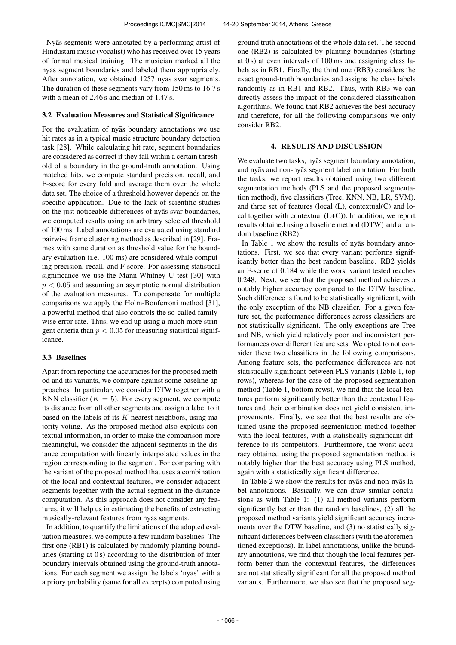Nyas segments were annotated by a performing artist of Hindustani music (vocalist) who has received over 15 years of formal musical training. The musician marked all the nyās segment boundaries and labeled them appropriately. After annotation, we obtained 1257 nyas svar segments. The duration of these segments vary from 150 ms to 16.7 s with a mean of 2.46 s and median of 1.47 s.

## 3.2 Evaluation Measures and Statistical Significance

For the evaluation of nyas boundary annotations we use hit rates as in a typical music structure boundary detection task [28]. While calculating hit rate, segment boundaries are considered as correct if they fall within a certain threshold of a boundary in the ground-truth annotation. Using matched hits, we compute standard precision, recall, and F-score for every fold and average them over the whole data set. The choice of a threshold however depends on the specific application. Due to the lack of scientific studies on the just noticeable differences of nyas svar boundaries, we computed results using an arbitrary selected threshold of 100 ms. Label annotations are evaluated using standard pairwise frame clustering method as described in [29]. Frames with same duration as threshold value for the boundary evaluation (i.e. 100 ms) are considered while computing precision, recall, and F-score. For assessing statistical significance we use the Mann-Whitney U test [30] with  $p < 0.05$  and assuming an asymptotic normal distribution of the evaluation measures. To compensate for multiple comparisons we apply the Holm-Bonferroni method [31], a powerful method that also controls the so-called familywise error rate. Thus, we end up using a much more stringent criteria than  $p < 0.05$  for measuring statistical significance.

# 3.3 Baselines

Apart from reporting the accuracies for the proposed method and its variants, we compare against some baseline approaches. In particular, we consider DTW together with a KNN classifier  $(K = 5)$ . For every segment, we compute its distance from all other segments and assign a label to it based on the labels of its  $K$  nearest neighbors, using majority voting. As the proposed method also exploits contextual information, in order to make the comparison more meaningful, we consider the adjacent segments in the distance computation with linearly interpolated values in the region corresponding to the segment. For comparing with the variant of the proposed method that uses a combination of the local and contextual features, we consider adjacent segments together with the actual segment in the distance computation. As this approach does not consider any features, it will help us in estimating the benefits of extracting musically-relevant features from nyas segments.

In addition, to quantify the limitations of the adopted evaluation measures, we compute a few random baselines. The first one (RB1) is calculated by randomly planting boundaries (starting at 0 s) according to the distribution of inter boundary intervals obtained using the ground-truth annotations. For each segment we assign the labels 'nyās' with a a priory probability (same for all excerpts) computed using

ground truth annotations of the whole data set. The second one (RB2) is calculated by planting boundaries (starting at 0 s) at even intervals of 100 ms and assigning class labels as in RB1. Finally, the third one (RB3) considers the exact ground-truth boundaries and assigns the class labels randomly as in RB1 and RB2. Thus, with RB3 we can directly assess the impact of the considered classification algorithms. We found that RB2 achieves the best accuracy and therefore, for all the following comparisons we only consider RB2.

# 4. RESULTS AND DISCUSSION

We evaluate two tasks, nyās segment boundary annotation, and nyās and non-nyās segment label annotation. For both the tasks, we report results obtained using two different segmentation methods (PLS and the proposed segmentation method), five classifiers (Tree, KNN, NB, LR, SVM), and three set of features (local (L), contextual(C) and local together with contextual (L+C)). In addition, we report results obtained using a baseline method (DTW) and a random baseline (RB2).

In Table 1 we show the results of nyas boundary annotations. First, we see that every variant performs significantly better than the best random baseline. RB2 yields an F-score of 0.184 while the worst variant tested reaches 0.248. Next, we see that the proposed method achieves a notably higher accuracy compared to the DTW baseline. Such difference is found to be statistically significant, with the only exception of the NB classifier. For a given feature set, the performance differences across classifiers are not statistically significant. The only exceptions are Tree and NB, which yield relatively poor and inconsistent performances over different feature sets. We opted to not consider these two classifiers in the following comparisons. Among feature sets, the performance differences are not statistically significant between PLS variants (Table 1, top rows), whereas for the case of the proposed segmentation method (Table 1, bottom rows), we find that the local features perform significantly better than the contextual features and their combination does not yield consistent improvements. Finally, we see that the best results are obtained using the proposed segmentation method together with the local features, with a statistically significant difference to its competitors. Furthermore, the worst accuracy obtained using the proposed segmentation method is notably higher than the best accuracy using PLS method, again with a statistically significant difference.

In Table 2 we show the results for ny $\bar{a}$ s and non-ny $\bar{a}$ s label annotations. Basically, we can draw similar conclusions as with Table 1: (1) all method variants perform significantly better than the random baselines, (2) all the proposed method variants yield significant accuracy increments over the DTW baseline, and (3) no statistically significant differences between classifiers (with the aforementioned exceptions). In label annotations, unlike the boundary annotations, we find that though the local features perform better than the contextual features, the differences are not statistically significant for all the proposed method variants. Furthermore, we also see that the proposed seg-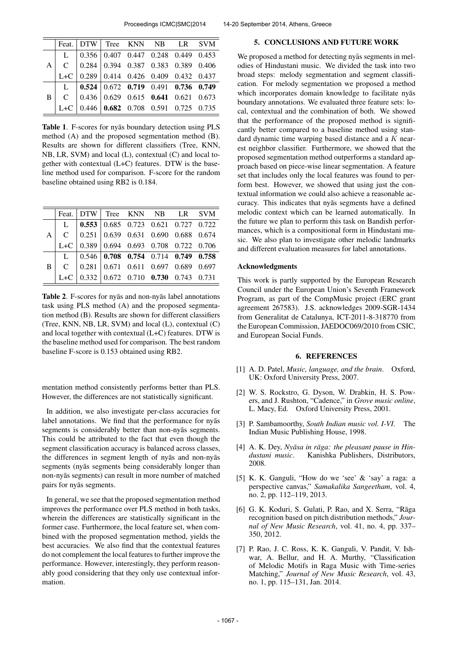|                | Feat. DTW Tree KNN NB LR SVM                                                  |  |  |  |
|----------------|-------------------------------------------------------------------------------|--|--|--|
| $A \mid$       | L   $0.356$   $0.407$ 0.447 0.248 0.449 0.453                                 |  |  |  |
|                | C   $0.284$   $0.394$ 0.387 0.383 0.389 0.406                                 |  |  |  |
|                | L+C 0.289 0.414 0.426 0.409 0.432 0.437                                       |  |  |  |
| B <sub>1</sub> | L   $0.524$   0.672 0.719 0.491 0.736 0.749                                   |  |  |  |
|                | C   0.436   0.629    0.615    0.641    0.621    0.673                         |  |  |  |
|                | L+C $\vert 0.446 \vert 0.682 \vert 0.708 \vert 0.591 \vert 0.725 \vert 0.735$ |  |  |  |

Table 1. F-scores for nyas boundary detection using PLS method (A) and the proposed segmentation method (B). Results are shown for different classifiers (Tree, KNN, NB, LR, SVM) and local (L), contextual (C) and local together with contextual (L+C) features. DTW is the baseline method used for comparison. F-score for the random baseline obtained using RB2 is 0.184.

|  | Feat. DTW Tree KNN NB LR SVM                                                        |  |  |  |
|--|-------------------------------------------------------------------------------------|--|--|--|
|  | L   $0.553$   0.685 0.723 0.621 0.727 0.722                                         |  |  |  |
|  | A $\vert$ C $\vert$ 0.251 0.639 0.631 0.690 0.688 0.674                             |  |  |  |
|  | L+C 0.389 0.694 0.693 0.708 0.722 0.706                                             |  |  |  |
|  | L 0.546 0.708 0.754 0.714 0.749 0.758                                               |  |  |  |
|  | $B \begin{bmatrix} C & 0.281 & 0.671 & 0.611 & 0.697 & 0.689 & 0.697 \end{bmatrix}$ |  |  |  |
|  | L+C $\vert 0.332 \vert 0.672 \vert 0.710 \vert 0.730 \vert 0.743 \vert 0.731$       |  |  |  |

Table 2. F-scores for nyās and non-nyās label annotations task using PLS method (A) and the proposed segmentation method (B). Results are shown for different classifiers (Tree, KNN, NB, LR, SVM) and local (L), contextual (C) and local together with contextual (L+C) features. DTW is the baseline method used for comparison. The best random baseline F-score is 0.153 obtained using RB2.

mentation method consistently performs better than PLS. However, the differences are not statistically significant.

In addition, we also investigate per-class accuracies for label annotations. We find that the performance for nyas segments is considerably better than non-nyas segments. This could be attributed to the fact that even though the segment classification accuracy is balanced across classes, the differences in segment length of nyas and non-nyas segments (nyas segments being considerably longer than non-nyās segments) can result in more number of matched pairs for nyās segments.

In general, we see that the proposed segmentation method improves the performance over PLS method in both tasks, wherein the differences are statistically significant in the former case. Furthermore, the local feature set, when combined with the proposed segmentation method, yields the best accuracies. We also find that the contextual features do not complement the local features to further improve the performance. However, interestingly, they perform reasonably good considering that they only use contextual information.

# 5. CONCLUSIONS AND FUTURE WORK

We proposed a method for detecting nyas segments in melodies of Hindustani music. We divided the task into two broad steps: melody segmentation and segment classification. For melody segmentation we proposed a method which incorporates domain knowledge to facilitate nyas boundary annotations. We evaluated three feature sets: local, contextual and the combination of both. We showed that the performance of the proposed method is significantly better compared to a baseline method using standard dynamic time warping based distance and a K nearest neighbor classifier. Furthermore, we showed that the proposed segmentation method outperforms a standard approach based on piece-wise linear segmentation. A feature set that includes only the local features was found to perform best. However, we showed that using just the contextual information we could also achieve a reasonable accuracy. This indicates that nyas segments have a defined melodic context which can be learned automatically. In the future we plan to perform this task on Bandish performances, which is a compositional form in Hindustani music. We also plan to investigate other melodic landmarks and different evaluation measures for label annotations.

## Acknowledgments

This work is partly supported by the European Research Council under the European Union's Seventh Framework Program, as part of the CompMusic project (ERC grant agreement 267583). J.S. acknowledges 2009-SGR-1434 from Generalitat de Catalunya, ICT-2011-8-318770 from the European Commission, JAEDOC069/2010 from CSIC, and European Social Funds.

#### 6. REFERENCES

- [1] A. D. Patel, *Music, language, and the brain*. Oxford, UK: Oxford University Press, 2007.
- [2] W. S. Rockstro, G. Dyson, W. Drabkin, H. S. Powers, and J. Rushton, "Cadence," in *Grove music online*, L. Macy, Ed. Oxford University Press, 2001.
- [3] P. Sambamoorthy, *South Indian music vol. I-VI*. The Indian Music Publishing House, 1998.
- [4] A. K. Dey, *Nyāsa in rāga: the pleasant pause in Hindustani music*. Kanishka Publishers, Distributors, 2008.
- [5] K. K. Ganguli, "How do we 'see' & 'say' a raga: a perspective canvas," *Samakalika Sangeetham*, vol. 4, no. 2, pp. 112–119, 2013.
- [6] G. K. Koduri, S. Gulati, P. Rao, and X. Serra, "Rāga recognition based on pitch distribution methods," *Journal of New Music Research*, vol. 41, no. 4, pp. 337– 350, 2012.
- [7] P. Rao, J. C. Ross, K. K. Ganguli, V. Pandit, V. Ishwar, A. Bellur, and H. A. Murthy, "Classification of Melodic Motifs in Raga Music with Time-series Matching," *Journal of New Music Research*, vol. 43, no. 1, pp. 115–131, Jan. 2014.